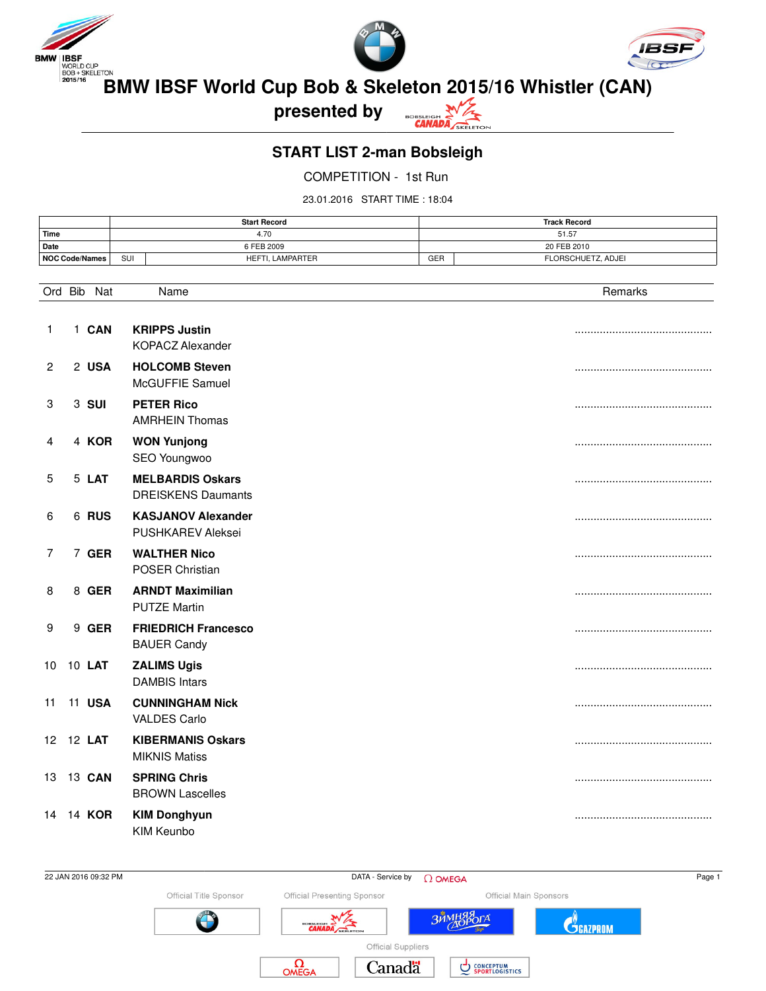





BMW IBSF<br>**BMW IBSF World Cup Bob & Skeleton 2015/16 Whistler (CAN)** 

**presented by**



**START LIST 2-man Bobsleigh**

COMPETITION - 1st Run

23.01.2016 START TIME : 18:04

|                | <b>Start Record</b> |                  | <b>Track Record</b> |                    |
|----------------|---------------------|------------------|---------------------|--------------------|
| <b>Time</b>    |                     | 4.70<br>51.57    |                     |                    |
| Date           | 6 FEB 2009          |                  | 20 FEB 2010         |                    |
| NOC Code/Names | SUI                 | HEFTI. LAMPARTER | GER                 | FLORSCHUETZ, ADJEI |

|              | Ord Bib<br>Nat | Name                                                  | Remarks |
|--------------|----------------|-------------------------------------------------------|---------|
| 1            | 1 CAN          | <b>KRIPPS Justin</b><br><b>KOPACZ Alexander</b>       |         |
| $\mathbf{2}$ | 2 USA          | <b>HOLCOMB Steven</b><br>McGUFFIE Samuel              |         |
| 3            | 3 SUI          | <b>PETER Rico</b><br><b>AMRHEIN Thomas</b>            |         |
| 4            | 4 KOR          | <b>WON Yunjong</b><br>SEO Youngwoo                    |         |
| 5            | 5 LAT          | <b>MELBARDIS Oskars</b><br><b>DREISKENS Daumants</b>  |         |
| 6            | 6 RUS          | <b>KASJANOV Alexander</b><br><b>PUSHKAREV Aleksei</b> |         |
| 7            | 7 GER          | <b>WALTHER Nico</b><br>POSER Christian                |         |
| 8            | 8 GER          | <b>ARNDT Maximilian</b><br><b>PUTZE Martin</b>        |         |
| 9            | 9 GER          | <b>FRIEDRICH Francesco</b><br><b>BAUER Candy</b>      |         |
| 10           | 10 <b>LAT</b>  | <b>ZALIMS Ugis</b><br><b>DAMBIS Intars</b>            |         |
| 11           | <b>11 USA</b>  | <b>CUNNINGHAM Nick</b><br><b>VALDES Carlo</b>         |         |
|              | 12 12 LAT      | <b>KIBERMANIS Oskars</b><br><b>MIKNIS Matiss</b>      |         |
| 13           | 13 CAN         | <b>SPRING Chris</b><br><b>BROWN Lascelles</b>         |         |
| 14           | 14 KOR         | <b>KIM Donghyun</b><br>KIM Keunbo                     |         |



 $22$  JAN 2016 09:32 PM Page 1 Official Title Sponsor Official Presenting Sponsor Official Main Sponsors **BALL** ЗИМНЯРОГА WZ **C**GAZPROM Official Suppliers  $\Omega_{\text{OMEG}}$ Canadä **CONCEPTUM**<br>SPORTLOGISTICS